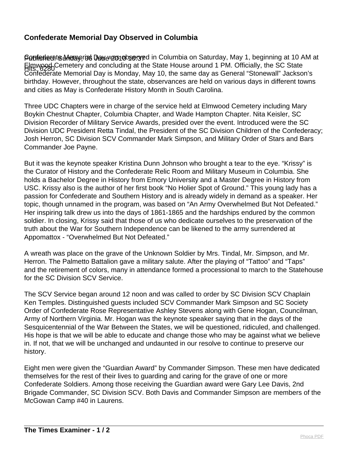## **Confederate Memorial Day Observed in Columbia**

Ponfederats Memo, ros Dawe vzonobserved in Columbia on Saturday, May 1, beginning at 10 AM at Elmwood Cemetery and concluding at the State House around 1 PM. Officially, the SC State Confederate Memorial Day is Monday, May 10, the same day as General "Stonewall" Jackson's birthday. However, throughout the state, observances are held on various days in different towns and cities as May is Confederate History Month in South Carolina.

Three UDC Chapters were in charge of the service held at Elmwood Cemetery including Mary Boykin Chestnut Chapter, Columbia Chapter, and Wade Hampton Chapter. Nita Keisler, SC Division Recorder of Military Service Awards, presided over the event. Introduced were the SC Division UDC President Retta Tindal, the President of the SC Division Children of the Confederacy; Josh Herron, SC Division SCV Commander Mark Simpson, and Military Order of Stars and Bars Commander Joe Payne.

But it was the keynote speaker Kristina Dunn Johnson who brought a tear to the eye. "Krissy" is the Curator of History and the Confederate Relic Room and Military Museum in Columbia. She holds a Bachelor Degree in History from Emory University and a Master Degree in History from USC. Krissy also is the author of her first book "No Holier Spot of Ground." This young lady has a passion for Confederate and Southern History and is already widely in demand as a speaker. Her topic, though unnamed in the program, was based on "An Army Overwhelmed But Not Defeated." Her inspiring talk drew us into the days of 1861-1865 and the hardships endured by the common soldier. In closing, Krissy said that those of us who dedicate ourselves to the preservation of the truth about the War for Southern Independence can be likened to the army surrendered at Appomattox - "Overwhelmed But Not Defeated."

A wreath was place on the grave of the Unknown Soldier by Mrs. Tindal, Mr. Simpson, and Mr. Herron. The Palmetto Battalion gave a military salute. After the playing of "Tattoo" and "Taps" and the retirement of colors, many in attendance formed a processional to march to the Statehouse for the SC Division SCV Service.

The SCV Service began around 12 noon and was called to order by SC Division SCV Chaplain Ken Temples. Distinguished guests included SCV Commander Mark Simpson and SC Society Order of Confederate Rose Representative Ashley Stevens along with Gene Hogan, Councilman, Army of Northern Virginia. Mr. Hogan was the keynote speaker saying that in the days of the Sesquicentennial of the War Between the States, we will be questioned, ridiculed, and challenged. His hope is that we will be able to educate and change those who may be against what we believe in. If not, that we will be unchanged and undaunted in our resolve to continue to preserve our history.

Eight men were given the "Guardian Award" by Commander Simpson. These men have dedicated themselves for the rest of their lives to guarding and caring for the grave of one or more Confederate Soldiers. Among those receiving the Guardian award were Gary Lee Davis, 2nd Brigade Commander, SC Division SCV. Both Davis and Commander Simpson are members of the McGowan Camp #40 in Laurens.